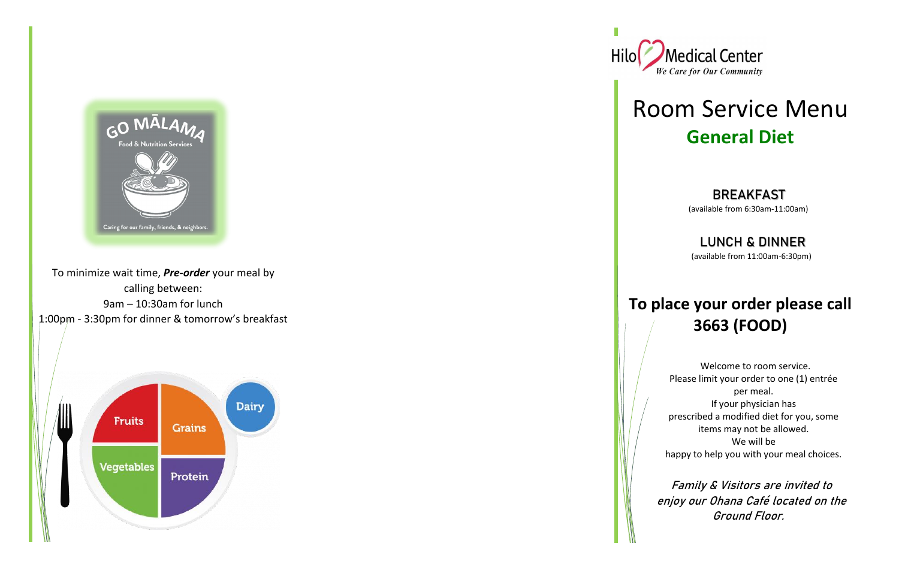

To minimize wait time, *Pre-order* your meal by calling between: 9am – 10:30am for lunch 1:00pm - 3:30pm for dinner & tomorrow's breakfast





Hilo



## BREAKFAST



# Room Service Menu **General Diet**

(available from 6:30am-11:00am)

## LUNCH & DINNER

(available from 11:00am-6:30pm)

## **To place your order please call 3663 (FOOD)**

 Welcome to room service. Please limit your order to one (1) entrée per meal. If your physician has prescribed a modified diet for you, some items may not be allowed. We will be happy to help you with your meal choices.

 Family & Visitors are invited to enjoy our Ohana Café located on the Ground Floor.